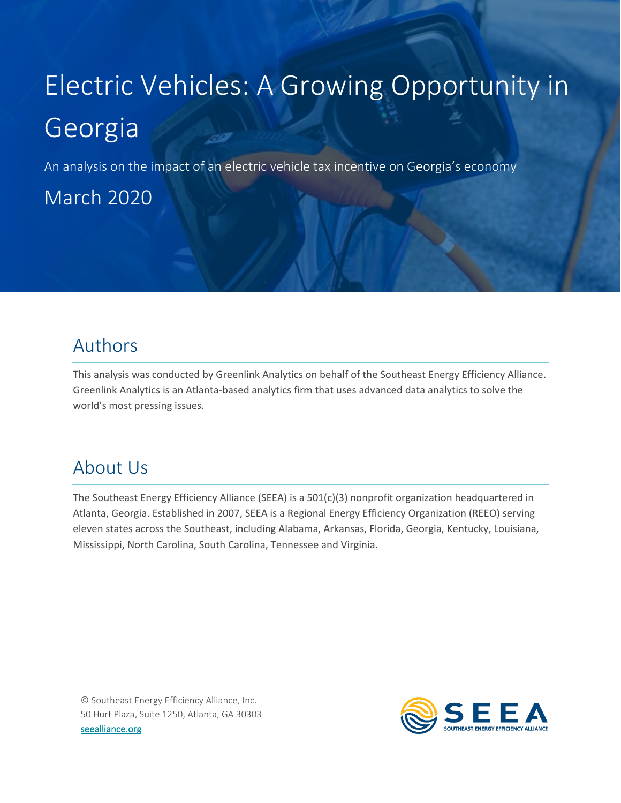# Electric Vehicles: A Growing Opportunity in Georgia

An analysis on the impact of an electric vehicle tax incentive on Georgia's economy

March 2020

# Authors

This analysis was conducted by Greenlink Analytics on behalf of the Southeast Energy Efficiency Alliance. Greenlink Analytics is an Atlanta-based analytics firm that uses advanced data analytics to solve the world's most pressing issues.

# About Us

<span id="page-0-0"></span>The Southeast Energy Efficiency Alliance (SEEA) is a 501(c)(3) nonprofit organization headquartered in Atlanta, Georgia. Established in 2007, SEEA is a Regional Energy Efficiency Organization (REEO) serving eleven states across the Southeast, including Alabama, Arkansas, Florida, Georgia, Kentucky, Louisiana, Mississippi, North Carolina, South Carolina, Tennessee and Virginia.

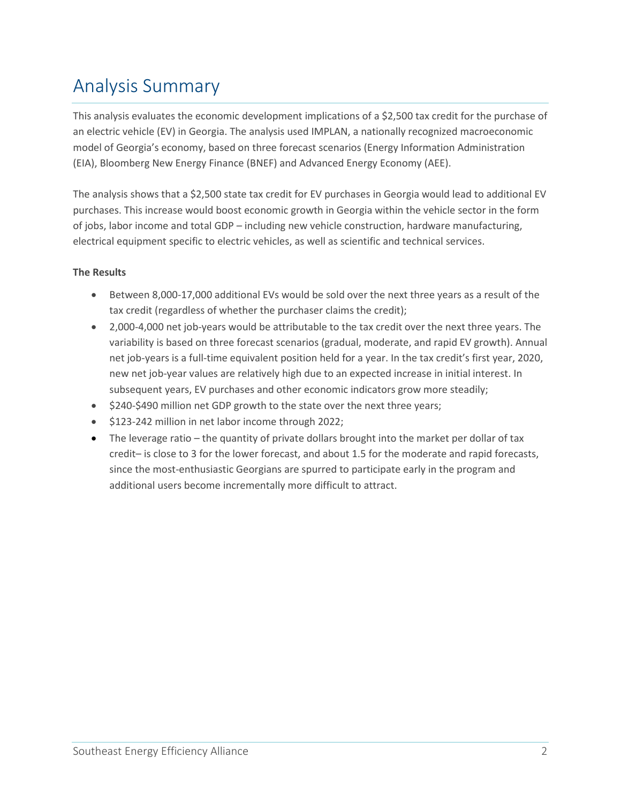# Analysis Summary

This analysis evaluates the economic development implications of a \$2,500 tax credit for the purchase of an electric vehicle (EV) in Georgia. The analysis used IMPLAN, a nationally recognized macroeconomic model of Georgia's economy, based on three forecast scenarios (Energy Information Administration (EIA), Bloomberg New Energy Finance (BNEF) and Advanced Energy Economy (AEE).

The analysis shows that a \$2,500 state tax credit for EV purchases in Georgia would lead to additional EV purchases. This increase would boost economic growth in Georgia within the vehicle sector in the form of jobs, labor income and total GDP – including new vehicle construction, hardware manufacturing, electrical equipment specific to electric vehicles, as well as scientific and technical services.

### **The Results**

- Between 8,000-17,000 additional EVs would be sold over the next three years as a result of the tax credit (regardless of whether the purchaser claims the credit);
- 2,000-4,000 net job-years would be attributable to the tax credit over the next three years. The variability is based on three forecast scenarios (gradual, moderate, and rapid EV growth). Annual net job-years is a full-time equivalent position held for a year. In the tax credit's first year, 2020, new net job-year values are relatively high due to an expected increase in initial interest. In subsequent years, EV purchases and other economic indicators grow more steadily;
- \$240-\$490 million net GDP growth to the state over the next three years;
- \$123-242 million in net labor income through 2022;
- The leverage ratio the quantity of private dollars brought into the market per dollar of tax credit– is close to 3 for the lower forecast, and about 1.5 for the moderate and rapid forecasts, since the most-enthusiastic Georgians are spurred to participate early in the program and additional users become incrementally more difficult to attract.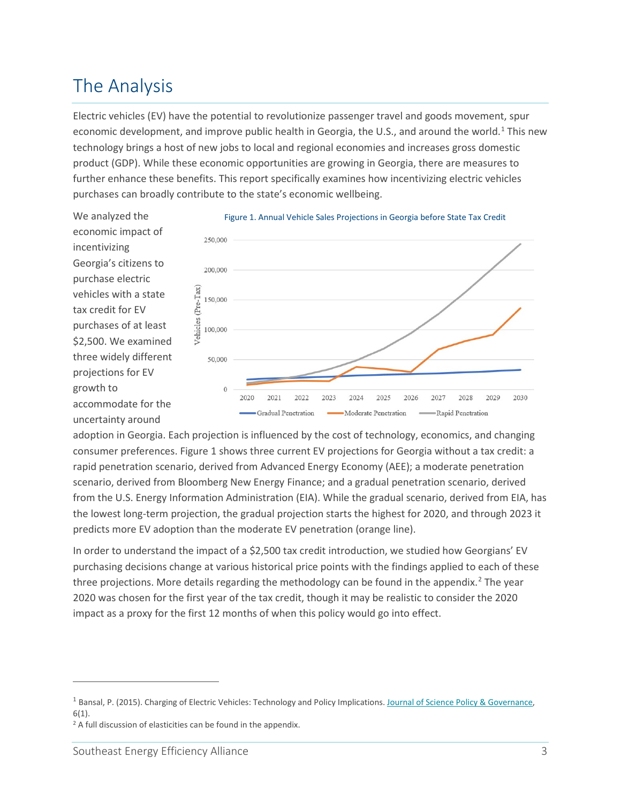# The Analysis

Electric vehicles (EV) have the potential to revolutionize passenger travel and goods movement, spur economic development, and improve public health in Georgia, the U.S., and around the world.<sup>[1](#page-0-0)</sup> This new technology brings a host of new jobs to local and regional economies and increases gross domestic product (GDP). While these economic opportunities are growing in Georgia, there are measures to further enhance these benefits. This report specifically examines how incentivizing electric vehicles purchases can broadly contribute to the state's economic wellbeing.







adoption in Georgia. Each projection is influenced by the cost of technology, economics, and changing consumer preferences. Figure 1 shows three current EV projections for Georgia without a tax credit: a rapid penetration scenario, derived from Advanced Energy Economy (AEE); a moderate penetration scenario, derived from Bloomberg New Energy Finance; and a gradual penetration scenario, derived from the U.S. Energy Information Administration (EIA). While the gradual scenario, derived from EIA, has the lowest long-term projection, the gradual projection starts the highest for 2020, and through 2023 it predicts more EV adoption than the moderate EV penetration (orange line).

In order to understand the impact of a \$2,500 tax credit introduction, we studied how Georgians' EV purchasing decisions change at various historical price points with the findings applied to each of these three projections. More details regarding the methodology can be found in the appendix. $2$  The year 2020 was chosen for the first year of the tax credit, though it may be realistic to consider the 2020 impact as a proxy for the first 12 months of when this policy would go into effect.

<sup>&</sup>lt;sup>1</sup> Bansal, P. (2015). Charging of Electric Vehicles: Technology and Policy Implications. Journal of Science Policy & Governance, 6(1).

<span id="page-2-0"></span><sup>&</sup>lt;sup>2</sup> A full discussion of elasticities can be found in the appendix.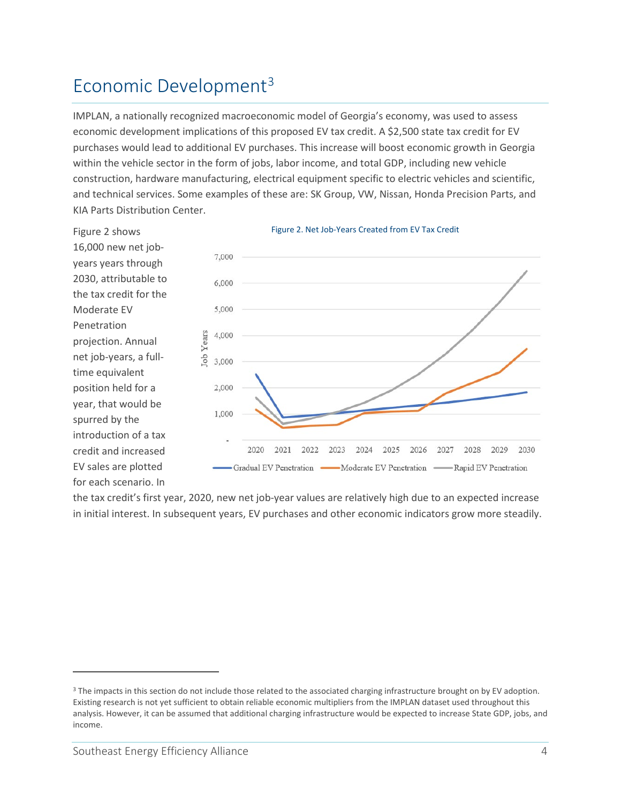# Economic Development<sup>[3](#page-3-0)</sup>

Figure 2 shows 16,000 new net jobyears years through 2030, attributable to the tax credit for the

Moderate EV Penetration

projection. Annual net job-years, a fulltime equivalent position held for a year, that would be spurred by the

introduction of a tax credit and increased EV sales are plotted for each scenario. In

IMPLAN, a nationally recognized macroeconomic model of Georgia's economy, was used to assess economic development implications of this proposed EV tax credit. A \$2,500 state tax credit for EV purchases would lead to additional EV purchases. This increase will boost economic growth in Georgia within the vehicle sector in the form of jobs, labor income, and total GDP, including new vehicle construction, hardware manufacturing, electrical equipment specific to electric vehicles and scientific, and technical services. Some examples of these are: SK Group, VW, Nissan, Honda Precision Parts, and KIA Parts Distribution Center.



#### Figure 2. Net Job-Years Created from EV Tax Credit

the tax credit's first year, 2020, new net job-year values are relatively high due to an expected increase in initial interest. In subsequent years, EV purchases and other economic indicators grow more steadily.

<span id="page-3-0"></span><sup>&</sup>lt;sup>3</sup> The impacts in this section do not include those related to the associated charging infrastructure brought on by EV adoption. Existing research is not yet sufficient to obtain reliable economic multipliers from the IMPLAN dataset used throughout this analysis. However, it can be assumed that additional charging infrastructure would be expected to increase State GDP, jobs, and income.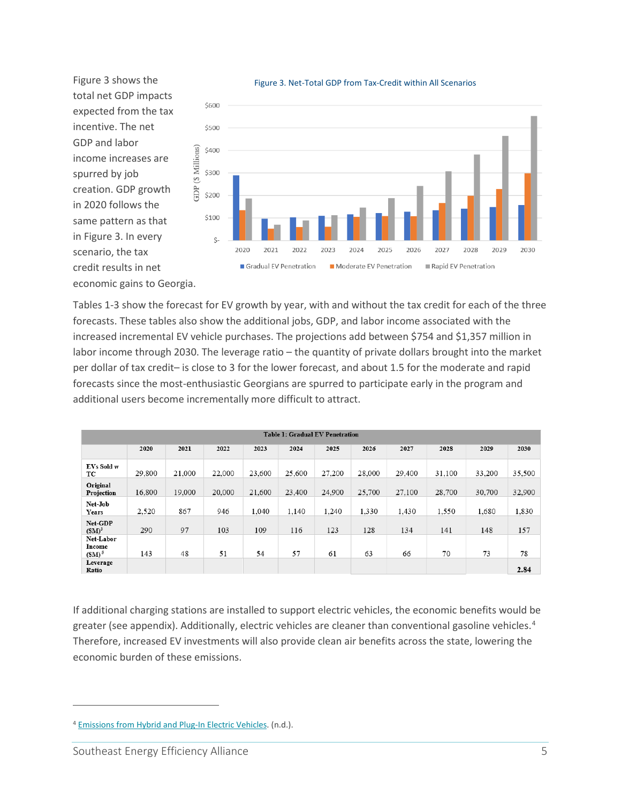Figure 3 shows the total net GDP impacts expected from the tax incentive. The net GDP and labor income increases are spurred by job creation. GDP growth in 2020 follows the same pattern as that in Figure 3. In every scenario, the tax credit results in net economic gains to Georgia.



Figure 3. Net-Total GDP from Tax-Credit within All Scenarios

Tables 1-3 show the forecast for EV growth by year, with and without the tax credit for each of the three forecasts. These tables also show the additional jobs, GDP, and labor income associated with the increased incremental EV vehicle purchases. The projections add between \$754 and \$1,357 million in labor income through 2030. The leverage ratio – the quantity of private dollars brought into the market per dollar of tax credit– is close to 3 for the lower forecast, and about 1.5 for the moderate and rapid forecasts since the most-enthusiastic Georgians are spurred to participate early in the program and additional users become incrementally more difficult to attract.

| <b>Table 1: Gradual EV Penetration</b> |        |        |        |        |        |        |        |        |        |        |        |
|----------------------------------------|--------|--------|--------|--------|--------|--------|--------|--------|--------|--------|--------|
|                                        | 2020   | 2021   | 2022   | 2023   | 2024   | 2025   | 2026   | 2027   | 2028   | 2029   | 2030   |
| EVs Sold w<br>ТC                       | 29.800 | 21,000 | 22,000 | 23,600 | 25.600 | 27.200 | 28,000 | 29,400 | 31.100 | 33,200 | 35,500 |
| Original<br>Projection                 | 16.800 | 19,000 | 20,000 | 21,600 | 23,400 | 24.900 | 25,700 | 27,100 | 28,700 | 30,700 | 32.900 |
| Net-Job<br>Years                       | 2,520  | 867    | 946    | 1.040  | 1,140  | 1,240  | 1,330  | 1,430  | 1,550  | 1.680  | 1,830  |
| Net-GDP<br>$(SM)^3$                    | 290    | 97     | 103    | 109    | 116    | 123    | 128    | 134    | 141    | 148    | 157    |
| Net-Labor<br>Income<br>$(SM)^5$        | 143    | 48     | 51     | 54     | 57     | 61     | 63     | 66     | 70     | 73     | 78     |
| Leverage<br>Ratio                      |        |        |        |        |        |        |        |        |        |        | 2.84   |

If additional charging stations are installed to support electric vehicles, the economic benefits would be greater (see appendix). Additionally, electric vehicles are cleaner than conventional gasoline vehicles.<sup>[4](#page-4-0)</sup> Therefore, increased EV investments will also provide clean air benefits across the state, lowering the economic burden of these emissions.

<span id="page-4-0"></span><sup>4</sup> [Emissions from Hybrid and Plug-In Electric Vehicles.](https://afdc.energy.gov/vehicles/electric_emissions.html) (n.d.).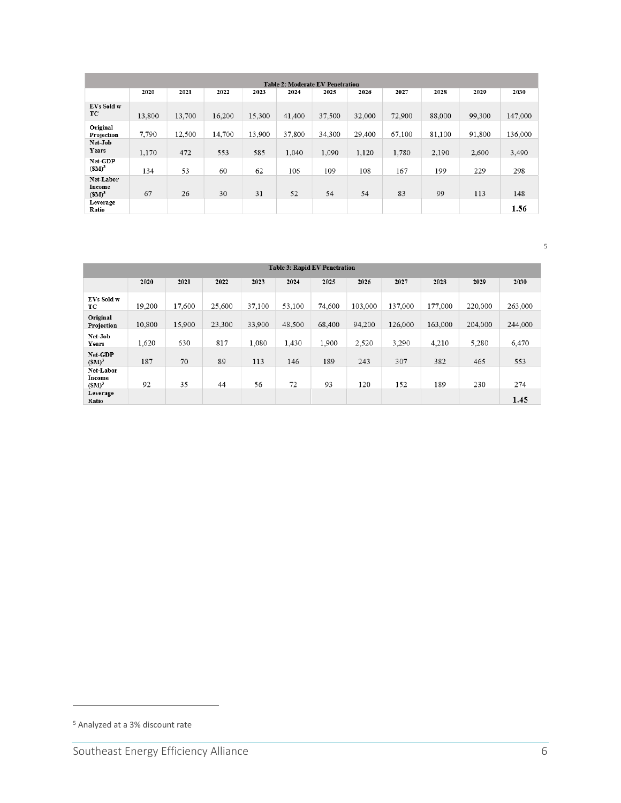|                                 |        |        |        |        | <b>Table 2: Moderate EV Penetration</b> |        |        |        |        |        |         |
|---------------------------------|--------|--------|--------|--------|-----------------------------------------|--------|--------|--------|--------|--------|---------|
|                                 | 2020   | 2021   | 2022   | 2023   | 2024                                    | 2025   | 2026   | 2027   | 2028   | 2029   | 2030    |
| EVs Sold w<br>TC.               | 13,800 | 13,700 | 16,200 | 15,300 | 41,400                                  | 37,500 | 32,000 | 72,900 | 88,000 | 99,300 | 147,000 |
| Original<br>Projection          | 7,790  | 12,500 | 14,700 | 13.900 | 37,800                                  | 34.300 | 29,400 | 67,100 | 81.100 | 91,800 | 136,000 |
| Net-Job<br>Years                | 1.170  | 472    | 553    | 585    | 1.040                                   | 1.090  | 1,120  | 1.780  | 2.190  | 2.600  | 3.490   |
| Net-GDP<br>$(SM)^3$             | 134    | 53     | 60     | 62     | 106                                     | 109    | 108    | 167    | 199    | 229    | 298     |
| Net-Labor<br>Income<br>$(SM)^3$ | 67     | 26     | 30     | 31     | 52                                      | 54     | 54     | 83     | 99     | 113    | 148     |
| Leverage<br>Ratio               |        |        |        |        |                                         |        |        |        |        |        | 1.56    |

|                                 |        |        |        |        | <b>Table 3: Rapid EV Penetration</b> |        |         |         |         |         |         |
|---------------------------------|--------|--------|--------|--------|--------------------------------------|--------|---------|---------|---------|---------|---------|
|                                 | 2020   | 2021   | 2022   | 2023   | 2024                                 | 2025   | 2026    | 2027    | 2028    | 2029    | 2030    |
| EVs Sold w<br>TC                | 19.200 | 17.600 | 25.600 | 37,100 | 53.100                               | 74,600 | 103,000 | 137,000 | 177.000 | 220,000 | 263,000 |
| Original<br>Projection          | 10,800 | 15,900 | 23,300 | 33,900 | 48,500                               | 68,400 | 94,200  | 126,000 | 163,000 | 204,000 | 244,000 |
| Net-Job<br>Years                | 1,620  | 630    | 817    | 1.080  | 1,430                                | 1.900  | 2,520   | 3,290   | 4,210   | 5,280   | 6,470   |
| Net-GDP<br>$(SM)^3$             | 187    | 70     | 89     | 113    | 146                                  | 189    | 243     | 307     | 382     | 465     | 553     |
| Net-Labor<br>Income<br>$(SM)^3$ | 92     | 35     | 44     | 56     | 72                                   | 93     | 120     | 152     | 189     | 230     | 274     |
| Leverage<br>Ratio               |        |        |        |        |                                      |        |         |         |         |         | 1.45    |

<span id="page-5-0"></span>Analyzed at a 3% discount rate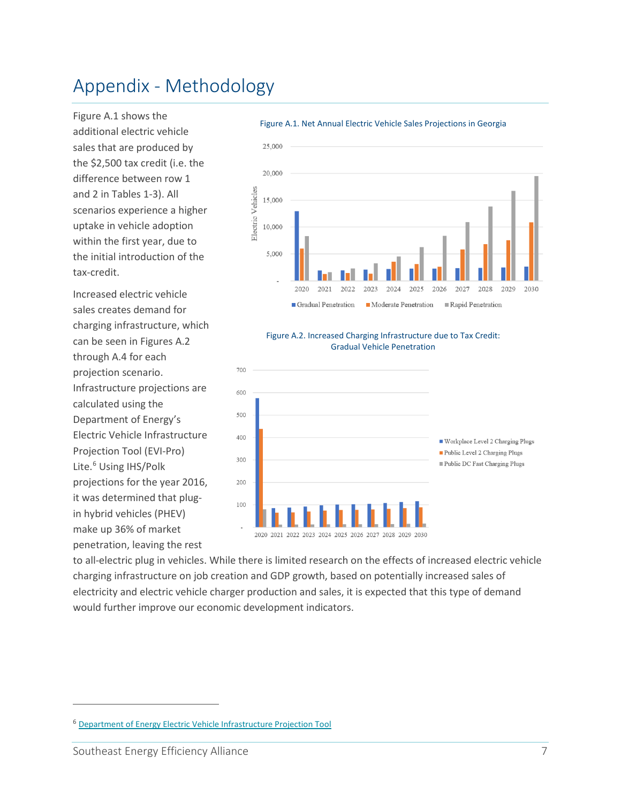# Appendix - Methodology

Figure A.1 shows the additional electric vehicle sales that are produced by the \$2,500 tax credit (i.e. the difference between row 1 and 2 in Tables 1-3). All scenarios experience a higher uptake in vehicle adoption within the first year, due to the initial introduction of the tax-credit.

Increased electric vehicle sales creates demand for charging infrastructure, which can be seen in Figures A.2 through A.4 for each projection scenario. Infrastructure projections are calculated using the Department of Energy's Electric Vehicle Infrastructure Projection Tool (EVI-Pro) Lite.<sup>[6](#page-6-0)</sup> Using IHS/Polk projections for the year 2016, it was determined that plugin hybrid vehicles (PHEV) make up 36% of market penetration, leaving the rest

#### Figure A.1. Net Annual Electric Vehicle Sales Projections in Georgia



#### Figure A.2. Increased Charging Infrastructure due to Tax Credit: Gradual Vehicle Penetration



to all-electric plug in vehicles. While there is limited research on the effects of increased electric vehicle charging infrastructure on job creation and GDP growth, based on potentially increased sales of electricity and electric vehicle charger production and sales, it is expected that this type of demand would further improve our economic development indicators.

<span id="page-6-0"></span><sup>6</sup> [Department of Energy Electric Vehicle Infrastructure Projection Tool](https://afdc.energy.gov/evi-pro-lite)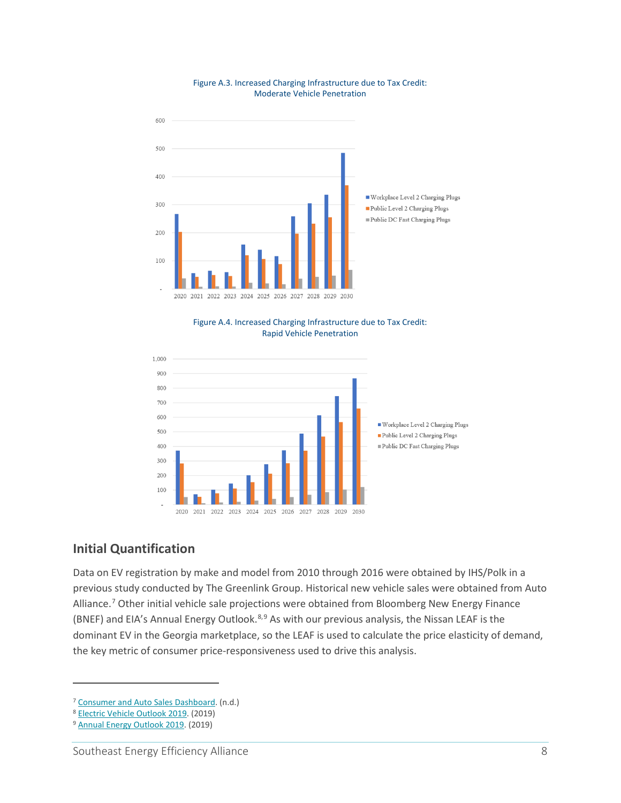

#### Figure A.3. Increased Charging Infrastructure due to Tax Credit: Moderate Vehicle Penetration

Figure A.4. Increased Charging Infrastructure due to Tax Credit: Rapid Vehicle Penetration



### **Initial Quantification**

Data on EV registration by make and model from 2010 through 2016 were obtained by IHS/Polk in a previous study conducted by The Greenlink Group. Historical new vehicle sales were obtained from Auto Alliance.<sup>[7](#page-7-0)</sup> Other initial vehicle sale projections were obtained from Bloomberg New Energy Finance (BNEF) and EIA's Annual Energy Outlook.<sup>[8,](#page-7-1)[9](#page-7-2)</sup> As with our previous analysis, the Nissan LEAF is the dominant EV in the Georgia marketplace, so the LEAF is used to calculate the price elasticity of demand, the key metric of consumer price-responsiveness used to drive this analysis.

<span id="page-7-0"></span><sup>7</sup> [Consumer and Auto Sales Dashboard.](https://autoalliance.org/energyenvironment/advanced-technology-vehicle-sales-dashboard/) (n.d.) 8 [Electric Vehicle Outlook 2019.](https://about.bnef.com/electric-vehicle-outlook) (2019)

<span id="page-7-1"></span>

<span id="page-7-2"></span><sup>9</sup> [Annual Energy Outlook 2019.](https://www.eia.gov/outlooks/aeo/) (2019)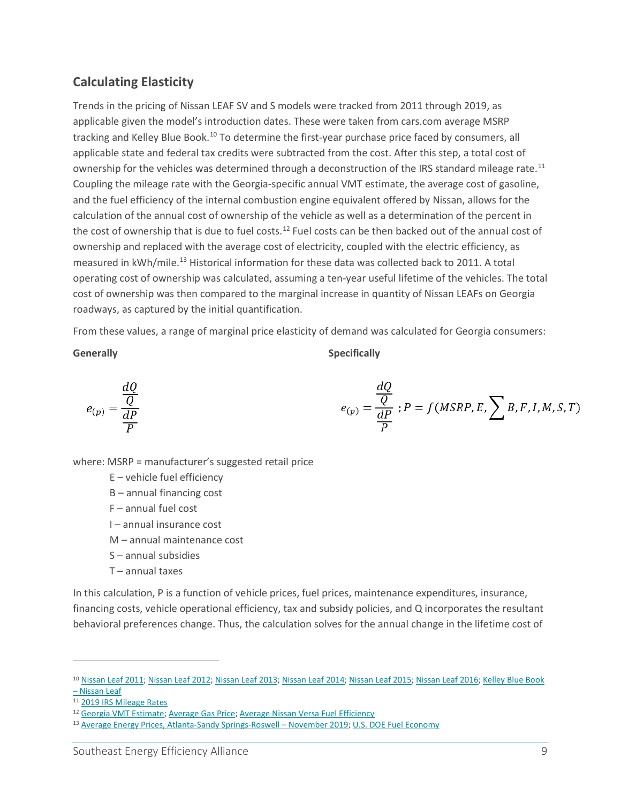### **Calculating Elasticity**

Trends in the pricing of Nissan LEAF SV and S models were tracked from 2011 through 2019, as applicable given the model's introduction dates. These were taken from cars.com average MSRP tracking and Kelley Blue Book.<sup>[10](#page-8-0)</sup> To determine the first-year purchase price faced by consumers, all applicable state and federal tax credits were subtracted from the cost. After this step, a total cost of ownership for the vehicles was determined through a deconstruction of the IRS standard mileage rate.<sup>[11](#page-8-1)</sup> Coupling the mileage rate with the Georgia-specific annual VMT estimate, the average cost of gasoline, and the fuel efficiency of the internal combustion engine equivalent offered by Nissan, allows for the calculation of the annual cost of ownership of the vehicle as well as a determination of the percent in the cost of ownership that is due to fuel costs.<sup>[12](#page-8-2)</sup> Fuel costs can be then backed out of the annual cost of ownership and replaced with the average cost of electricity, coupled with the electric efficiency, as measured in kWh/mile.<sup>13</sup> Historical information for these data was collected back to 2011. A total operating cost of ownership was calculated, assuming a ten-year useful lifetime of the vehicles. The total cost of ownership was then compared to the marginal increase in quantity of Nissan LEAFs on Georgia roadways, as captured by the initial quantification.

From these values, a range of marginal price elasticity of demand was calculated for Georgia consumers:

**Generally** Specifically

$$
e_{(p)} = \frac{\frac{dQ}{Q}}{\frac{dP}{P}}
$$

$$
e_{(p)} = \frac{\frac{dQ}{Q}}{\frac{dP}{P}}; P = f(MSRP, E, \sum B, F, I, M, S, T)
$$

 $\overline{J}$ 

where: MSRP = manufacturer's suggested retail price

- E vehicle fuel efficiency
- B annual financing cost
- F annual fuel cost
- I annual insurance cost
- M annual maintenance cost
- S annual subsidies
- T annual taxes

In this calculation, P is a function of vehicle prices, fuel prices, maintenance expenditures, insurance, financing costs, vehicle operational efficiency, tax and subsidy policies, and Q incorporates the resultant behavioral preferences change. Thus, the calculation solves for the annual change in the lifetime cost of

<span id="page-8-0"></span><sup>10</sup> [Nissan Leaf 2011;](https://www.cars.com/research/nissan-leaf-2011) [Nissan Leaf 2012;](https://www.cars.com/research/nissan-leaf-2012) [Nissan Leaf 2013;](https://www.cars.com/research/nissan-leaf-2013) [Nissan Leaf 2014;](https://www.cars.com/research/nissan-leaf-2014) [Nissan Leaf 2015;](https://www.cars.com/research/nissan-leaf-2015) [Nissan Leaf 2016;](https://www.cars.com/research/nissan-leaf-2016) [Kelley Blue Book](https://www.kbb.com/nissan/leaf/)  – [Nissan Leaf](https://www.kbb.com/nissan/leaf/)

<span id="page-8-1"></span><sup>11</sup> [2019 IRS Mileage Rates](https://www.ifebp.org/news/regulatoryupdates/Pages/2019-irs-mileage-rates.aspx)

<span id="page-8-2"></span><sup>&</sup>lt;sup>12</sup> [Georgia VMT](https://www.transportation.gov/transportation-health-tool/indicators/detail/ga/state/georgia#indicators) Estimate[; Average Gas Price;](https://www.bls.gov/regions/southeast/news-release/averageenergyprices_atlanta.htm) [Average Nissan Versa Fuel Efficiency](http://www.fuelly.com/car/nissan/versa)

<span id="page-8-3"></span><sup>13</sup> Average Energy Prices, Atlanta-Sandy Springs-Roswell - November 2019; U.S. DOE [Fuel Economy](https://www.fueleconomy.gov/feg/Find.do?action=sbs&id=37066&id=37067&id=34918&id=34699)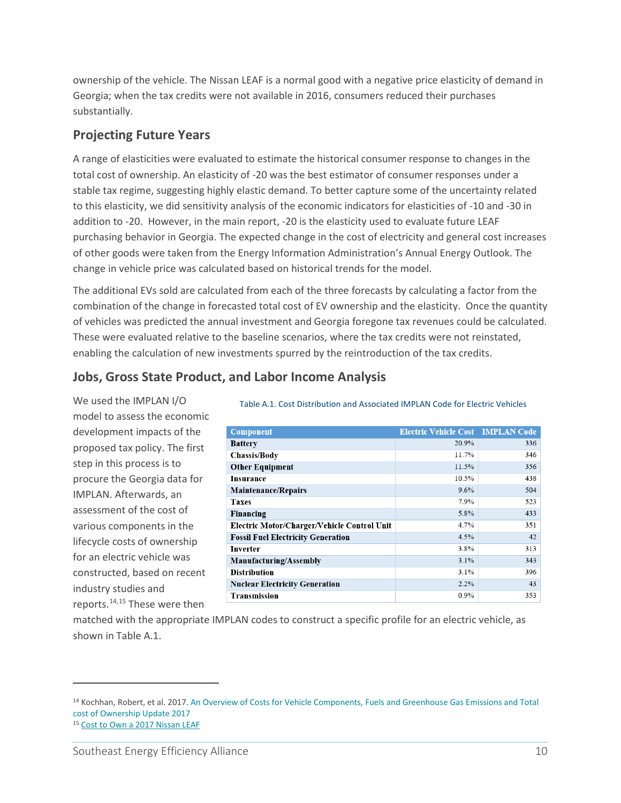ownership of the vehicle. The Nissan LEAF is a normal good with a negative price elasticity of demand in Georgia; when the tax credits were not available in 2016, consumers reduced their purchases substantially.

### **Projecting Future Years**

A range of elasticities were evaluated to estimate the historical consumer response to changes in the total cost of ownership. An elasticity of -20 was the best estimator of consumer responses under a stable tax regime, suggesting highly elastic demand. To better capture some of the uncertainty related to this elasticity, we did sensitivity analysis of the economic indicators for elasticities of -10 and -30 in addition to -20. However, in the main report, -20 is the elasticity used to evaluate future LEAF purchasing behavior in Georgia. The expected change in the cost of electricity and general cost increases of other goods were taken from the Energy Information Administration's Annual Energy Outlook. The change in vehicle price was calculated based on historical trends for the model.

The additional EVs sold are calculated from each of the three forecasts by calculating a factor from the combination of the change in forecasted total cost of EV ownership and the elasticity. Once the quantity of vehicles was predicted the annual investment and Georgia foregone tax revenues could be calculated. These were evaluated relative to the baseline scenarios, where the tax credits were not reinstated, enabling the calculation of new investments spurred by the reintroduction of the tax credits.

### **Jobs, Gross State Product, and Labor Income Analysis**

We used the IMPLAN I/O model to assess the economic development impacts of the proposed tax policy. The first step in this process is to procure the Georgia data for IMPLAN. Afterwards, an assessment of the cost of various components in the lifecycle costs of ownership for an electric vehicle was constructed, based on recent industry studies and reports.[14,](#page-9-0)[15](#page-9-1) These were then

Table A.1. Cost Distribution and Associated IMPLAN Code for Electric Vehicles

| <b>Component</b>                            | <b>Electric Vehicle Cost IMPLAN Code</b> |     |
|---------------------------------------------|------------------------------------------|-----|
| <b>Battery</b>                              | 20.9%                                    | 336 |
| <b>Chassis/Body</b>                         | 11.7%                                    | 346 |
| <b>Other Equipment</b>                      | 11.5%                                    | 356 |
| <b>Insurance</b>                            | 10.5%                                    | 438 |
| <b>Maintenance/Repairs</b>                  | 9.6%                                     | 504 |
| <b>Taxes</b>                                | 7.9%                                     | 523 |
| Financing                                   | 5.8%                                     | 433 |
| Electric Motor/Charger/Vehicle Control Unit | 4.7%                                     | 351 |
| <b>Fossil Fuel Electricity Generation</b>   | 4.5%                                     | 42  |
| Inverter                                    | 3.8%                                     | 313 |
| Manufacturing/Assembly                      | 3.1%                                     | 343 |
| <b>Distribution</b>                         | 3.1%                                     | 396 |
| <b>Nuclear Electricity Generation</b>       | 2.2%                                     | 43  |
| Transmission                                | $0.9\%$                                  | 353 |

matched with the appropriate IMPLAN codes to construct a specific profile for an electric vehicle, as shown in Table A.1.

<span id="page-9-0"></span><sup>14</sup> Kochhan, Robert, et al. 2017. An Overview of Costs for Vehicle Components, Fuels and Greenhouse Gas Emissions and Total cost of Ownership Update 2017

<span id="page-9-1"></span><sup>15</sup> [Cost to Own a 2017 Nissan LEAF](https://www.edmunds.com/nissan/leaf/2017/st-401695947/cost-to-own/)